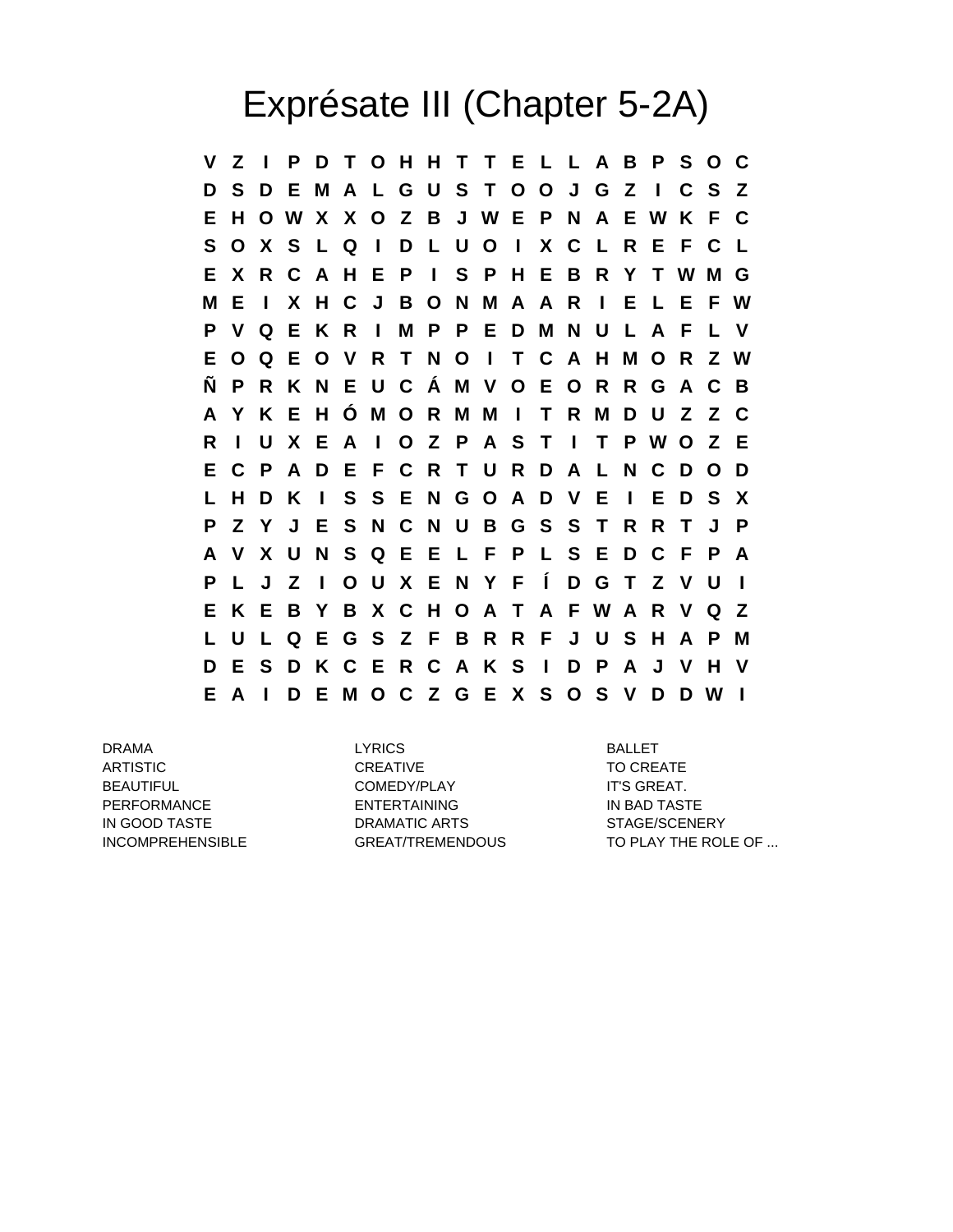## Exprésate III (Chapter 5-2A)

**V Z I P D T O H H T T E L L A B P S O C D S D E M A L G U S T O O J G Z I C S Z E H O W X X O Z B J W E P N A E W K F C S O X S L Q I D L U O I X C L R E F C L E X R C A H E P I S P H E B R Y T W M G M E I X H C J B O N M A A R I E L E F W P V Q E K R I M P P E D M N U L A F L V E O Q E O V R T N O I T C A H M O R Z W Ñ P R K N E U C Á M V O E O R R G A C B A Y K E H Ó M O R M M I T R M D U Z Z C R I U X E A I O Z P A S T I T P W O Z E E C P A D E F C R T U R D A L N C D O D L H D K I S S E N G O A D V E I E D S X P Z Y J E S N C N U B G S S T R R T J P A V X U N S Q E E L F P L S E D C F P A P L J Z I O U X E N Y F Í D G T Z V U I E K E B Y B X C H O A T A F W A R V Q Z L U L Q E G S Z F B R R F J U S H A P M D E S D K C E R C A K S I D P A J V H V E A I D E M O C Z G E X S O S V D D W I**

DRAMA LYRICS BALLET ARTISTIC CREATIVE CREATIVE CREATIVE TO CREATE BEAUTIFUL **IT'S GREAT.** COMEDY/PLAY **IT'S GREAT.** PERFORMANCE ENTERTAINING ENTERTAINING IN BAD TASTE IN GOOD TASTE DRAMATIC ARTS STAGE/SCENERY

INCOMPREHENSIBLE GREAT/TREMENDOUS TO PLAY THE ROLE OF ...